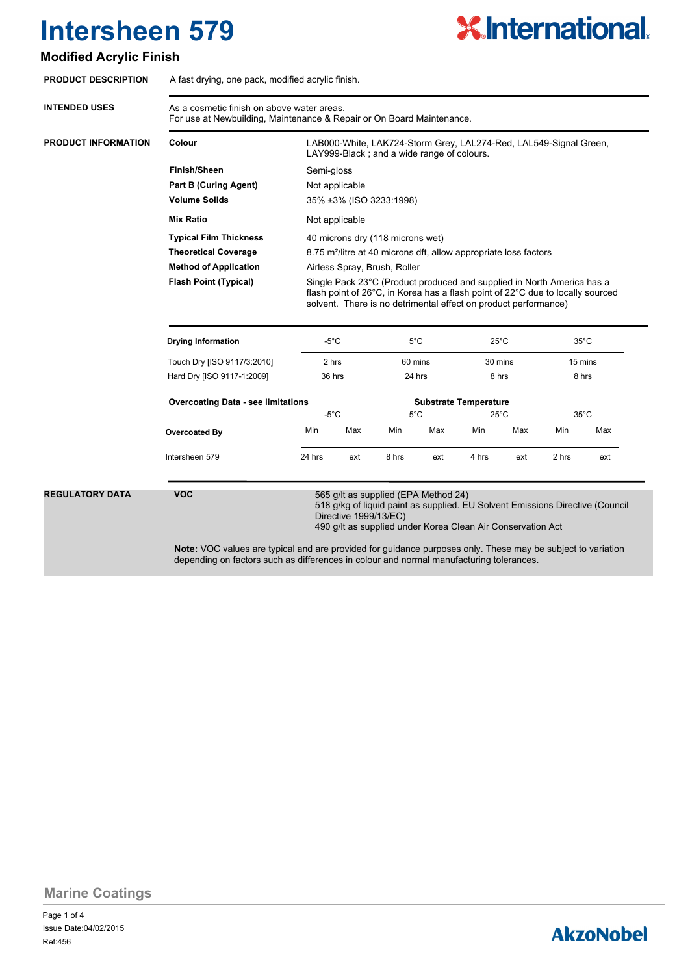### **Modified Acrylic Finish**

| <b>PRODUCT DESCRIPTION</b> | A fast drying, one pack, modified acrylic finish.                                                                                                                                                                           |                                                                                                                                                                                                                             |                       |                                                                                                     |     |                |                |                |                                                                               |
|----------------------------|-----------------------------------------------------------------------------------------------------------------------------------------------------------------------------------------------------------------------------|-----------------------------------------------------------------------------------------------------------------------------------------------------------------------------------------------------------------------------|-----------------------|-----------------------------------------------------------------------------------------------------|-----|----------------|----------------|----------------|-------------------------------------------------------------------------------|
| <b>INTENDED USES</b>       | As a cosmetic finish on above water areas.<br>For use at Newbuilding, Maintenance & Repair or On Board Maintenance.                                                                                                         |                                                                                                                                                                                                                             |                       |                                                                                                     |     |                |                |                |                                                                               |
| <b>PRODUCT INFORMATION</b> | Colour                                                                                                                                                                                                                      | LAB000-White, LAK724-Storm Grey, LAL274-Red, LAL549-Signal Green,<br>LAY999-Black; and a wide range of colours.                                                                                                             |                       |                                                                                                     |     |                |                |                |                                                                               |
|                            | <b>Finish/Sheen</b>                                                                                                                                                                                                         | Semi-gloss                                                                                                                                                                                                                  |                       |                                                                                                     |     |                |                |                |                                                                               |
|                            | <b>Part B (Curing Agent)</b>                                                                                                                                                                                                | Not applicable                                                                                                                                                                                                              |                       |                                                                                                     |     |                |                |                |                                                                               |
|                            | <b>Volume Solids</b>                                                                                                                                                                                                        | 35% ±3% (ISO 3233:1998)                                                                                                                                                                                                     |                       |                                                                                                     |     |                |                |                |                                                                               |
|                            | <b>Mix Ratio</b>                                                                                                                                                                                                            | Not applicable                                                                                                                                                                                                              |                       |                                                                                                     |     |                |                |                |                                                                               |
|                            | <b>Typical Film Thickness</b>                                                                                                                                                                                               | 40 microns dry (118 microns wet)                                                                                                                                                                                            |                       |                                                                                                     |     |                |                |                |                                                                               |
|                            | <b>Theoretical Coverage</b>                                                                                                                                                                                                 | 8.75 m <sup>2</sup> /litre at 40 microns dft, allow appropriate loss factors                                                                                                                                                |                       |                                                                                                     |     |                |                |                |                                                                               |
|                            | <b>Method of Application</b>                                                                                                                                                                                                | Airless Spray, Brush, Roller                                                                                                                                                                                                |                       |                                                                                                     |     |                |                |                |                                                                               |
|                            | <b>Flash Point (Typical)</b>                                                                                                                                                                                                | Single Pack 23°C (Product produced and supplied in North America has a<br>flash point of 26°C, in Korea has a flash point of 22°C due to locally sourced<br>solvent. There is no detrimental effect on product performance) |                       |                                                                                                     |     |                |                |                |                                                                               |
|                            | <b>Drying Information</b>                                                                                                                                                                                                   | -5°C                                                                                                                                                                                                                        |                       | 5°C                                                                                                 |     |                | $25^{\circ}$ C | $35^{\circ}$ C |                                                                               |
|                            | Touch Dry [ISO 9117/3:2010]                                                                                                                                                                                                 | 2 hrs                                                                                                                                                                                                                       |                       | 60 mins                                                                                             |     | 30 mins        |                | 15 mins        |                                                                               |
|                            | Hard Dry [ISO 9117-1:2009]                                                                                                                                                                                                  | 36 hrs                                                                                                                                                                                                                      |                       | 24 hrs                                                                                              |     | 8 hrs          |                | 8 hrs          |                                                                               |
|                            | <b>Overcoating Data - see limitations</b><br><b>Substrate Temperature</b>                                                                                                                                                   |                                                                                                                                                                                                                             |                       |                                                                                                     |     |                |                |                |                                                                               |
|                            |                                                                                                                                                                                                                             | $-5^{\circ}$ C                                                                                                                                                                                                              |                       | $5^{\circ}$ C                                                                                       |     | $25^{\circ}$ C |                | $35^{\circ}$ C |                                                                               |
|                            | <b>Overcoated By</b>                                                                                                                                                                                                        | Min                                                                                                                                                                                                                         | Max                   | Min                                                                                                 | Max | Min            | Max            | Min            | Max                                                                           |
|                            | Intersheen 579                                                                                                                                                                                                              | 24 hrs                                                                                                                                                                                                                      | ext                   | 8 hrs                                                                                               | ext | 4 hrs          | ext            | 2 hrs          | ext                                                                           |
| <b>REGULATORY DATA</b>     | <b>VOC</b><br><b>Note:</b> VOC values are typical and are provided for guidance purposes only. These may be subject to variation<br>depending on factors such as differences in colour and normal manufacturing tolerances. |                                                                                                                                                                                                                             | Directive 1999/13/EC) | 565 g/lt as supplied (EPA Method 24)<br>490 g/lt as supplied under Korea Clean Air Conservation Act |     |                |                |                | 518 g/kg of liquid paint as supplied. EU Solvent Emissions Directive (Council |

# **X.International.**

## **AkzoNobel**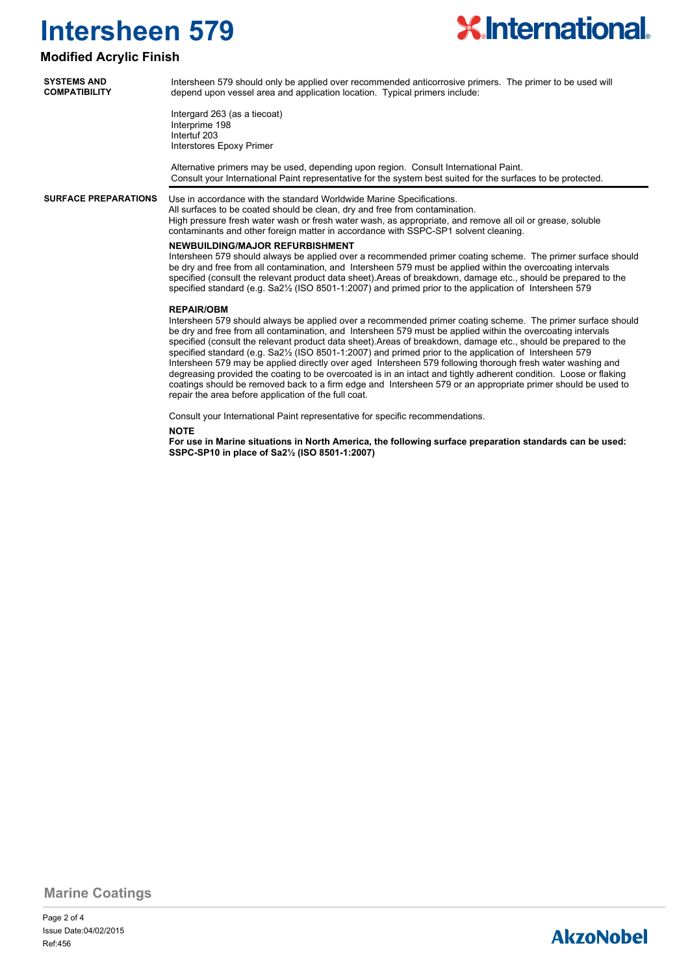

### **Modified Acrylic Finish**

| <b>SYSTEMS AND</b>   |  |
|----------------------|--|
| <b>COMPATIBILITY</b> |  |

Intersheen 579 should only be applied over recommended anticorrosive primers. The primer to be used will depend upon vessel area and application location. Typical primers include:

Intergard 263 (as a tiecoat) Interprime 198 Intertuf 203 Interstores Epoxy Primer

Alternative primers may be used, depending upon region. Consult International Paint. Consult your International Paint representative for the system best suited for the surfaces to be protected.

**SURFACE PREPARATIONS**

### Use in accordance with the standard Worldwide Marine Specifications.

All surfaces to be coated should be clean, dry and free from contamination. High pressure fresh water wash or fresh water wash, as appropriate, and remove all oil or grease, soluble contaminants and other foreign matter in accordance with SSPC-SP1 solvent cleaning.

#### **NEWBUILDING/MAJOR REFURBISHMENT**

Intersheen 579 should always be applied over a recommended primer coating scheme. The primer surface should be dry and free from all contamination, and Intersheen 579 must be applied within the overcoating intervals specified (consult the relevant product data sheet).Areas of breakdown, damage etc., should be prepared to the specified standard (e.g. Sa2½ (ISO 8501-1:2007) and primed prior to the application of Intersheen 579

#### **REPAIR/OBM**

Intersheen 579 should always be applied over a recommended primer coating scheme. The primer surface should be dry and free from all contamination, and Intersheen 579 must be applied within the overcoating intervals specified (consult the relevant product data sheet).Areas of breakdown, damage etc., should be prepared to the specified standard (e.g. Sa2½ (ISO 8501-1:2007) and primed prior to the application of Intersheen 579 Intersheen 579 may be applied directly over aged Intersheen 579 following thorough fresh water washing and degreasing provided the coating to be overcoated is in an intact and tightly adherent condition. Loose or flaking coatings should be removed back to a firm edge and Intersheen 579 or an appropriate primer should be used to repair the area before application of the full coat.

Consult your International Paint representative for specific recommendations.

#### **NOTE**

**For use in Marine situations in North America, the following surface preparation standards can be used: SSPC-SP10 in place of Sa2½ (ISO 8501-1:2007)**

**Marine Coatings**

## **AkzoNobel**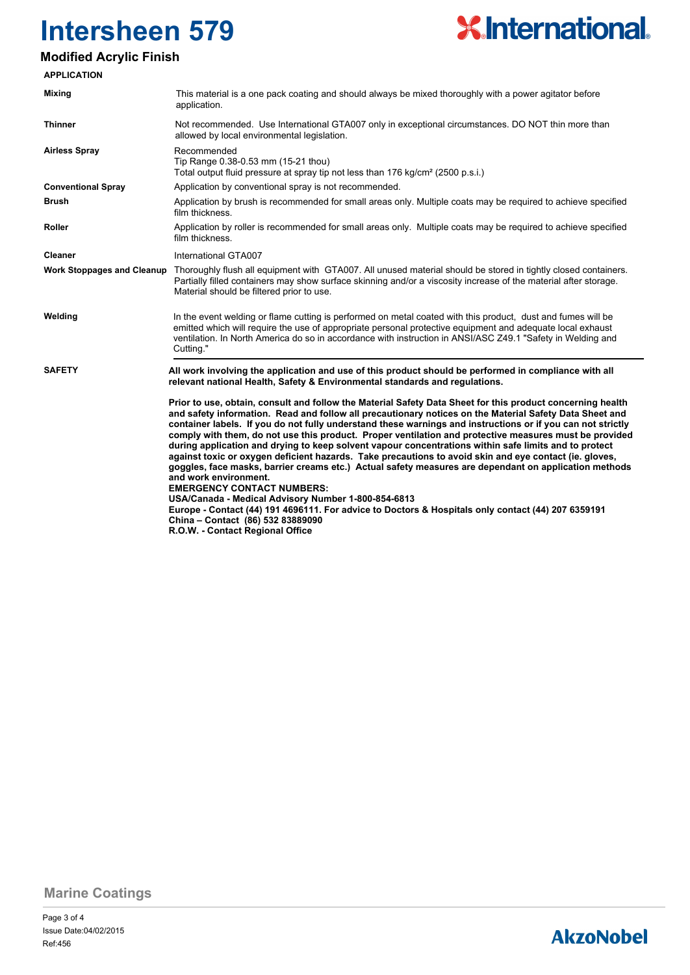

### **Modified Acrylic Finish**

| <b>APPLICATION</b>                |                                                                                                                                                                                                                                                                                                                                                                                                                                                                                                                                                                                                                                                                                                                                                                                                                                                                                                                                                                                                                                                                                |  |
|-----------------------------------|--------------------------------------------------------------------------------------------------------------------------------------------------------------------------------------------------------------------------------------------------------------------------------------------------------------------------------------------------------------------------------------------------------------------------------------------------------------------------------------------------------------------------------------------------------------------------------------------------------------------------------------------------------------------------------------------------------------------------------------------------------------------------------------------------------------------------------------------------------------------------------------------------------------------------------------------------------------------------------------------------------------------------------------------------------------------------------|--|
| <b>Mixing</b>                     | This material is a one pack coating and should always be mixed thoroughly with a power agitator before<br>application.                                                                                                                                                                                                                                                                                                                                                                                                                                                                                                                                                                                                                                                                                                                                                                                                                                                                                                                                                         |  |
| <b>Thinner</b>                    | Not recommended. Use International GTA007 only in exceptional circumstances. DO NOT thin more than<br>allowed by local environmental legislation.                                                                                                                                                                                                                                                                                                                                                                                                                                                                                                                                                                                                                                                                                                                                                                                                                                                                                                                              |  |
| <b>Airless Spray</b>              | Recommended<br>Tip Range 0.38-0.53 mm (15-21 thou)<br>Total output fluid pressure at spray tip not less than 176 kg/cm <sup>2</sup> (2500 p.s.i.)                                                                                                                                                                                                                                                                                                                                                                                                                                                                                                                                                                                                                                                                                                                                                                                                                                                                                                                              |  |
| <b>Conventional Spray</b>         | Application by conventional spray is not recommended.                                                                                                                                                                                                                                                                                                                                                                                                                                                                                                                                                                                                                                                                                                                                                                                                                                                                                                                                                                                                                          |  |
| Brush                             | Application by brush is recommended for small areas only. Multiple coats may be required to achieve specified<br>film thickness.                                                                                                                                                                                                                                                                                                                                                                                                                                                                                                                                                                                                                                                                                                                                                                                                                                                                                                                                               |  |
| Roller                            | Application by roller is recommended for small areas only. Multiple coats may be required to achieve specified<br>film thickness.                                                                                                                                                                                                                                                                                                                                                                                                                                                                                                                                                                                                                                                                                                                                                                                                                                                                                                                                              |  |
| <b>Cleaner</b>                    | International GTA007                                                                                                                                                                                                                                                                                                                                                                                                                                                                                                                                                                                                                                                                                                                                                                                                                                                                                                                                                                                                                                                           |  |
| <b>Work Stoppages and Cleanup</b> | Thoroughly flush all equipment with GTA007. All unused material should be stored in tightly closed containers.<br>Partially filled containers may show surface skinning and/or a viscosity increase of the material after storage.<br>Material should be filtered prior to use.                                                                                                                                                                                                                                                                                                                                                                                                                                                                                                                                                                                                                                                                                                                                                                                                |  |
| Welding                           | In the event welding or flame cutting is performed on metal coated with this product, dust and fumes will be<br>emitted which will require the use of appropriate personal protective equipment and adequate local exhaust<br>ventilation. In North America do so in accordance with instruction in ANSI/ASC Z49.1 "Safety in Welding and<br>Cutting."                                                                                                                                                                                                                                                                                                                                                                                                                                                                                                                                                                                                                                                                                                                         |  |
| <b>SAFETY</b>                     | All work involving the application and use of this product should be performed in compliance with all<br>relevant national Health, Safety & Environmental standards and regulations.                                                                                                                                                                                                                                                                                                                                                                                                                                                                                                                                                                                                                                                                                                                                                                                                                                                                                           |  |
|                                   | Prior to use, obtain, consult and follow the Material Safety Data Sheet for this product concerning health<br>and safety information. Read and follow all precautionary notices on the Material Safety Data Sheet and<br>container labels. If you do not fully understand these warnings and instructions or if you can not strictly<br>comply with them, do not use this product. Proper ventilation and protective measures must be provided<br>during application and drying to keep solvent vapour concentrations within safe limits and to protect<br>against toxic or oxygen deficient hazards. Take precautions to avoid skin and eye contact (ie. gloves,<br>goggles, face masks, barrier creams etc.) Actual safety measures are dependant on application methods<br>and work environment.<br><b>EMERGENCY CONTACT NUMBERS:</b><br>USA/Canada - Medical Advisory Number 1-800-854-6813<br>Europe - Contact (44) 191 4696111. For advice to Doctors & Hospitals only contact (44) 207 6359191<br>China - Contact (86) 532 83889090<br>R.O.W. - Contact Regional Office |  |

**Marine Coatings**